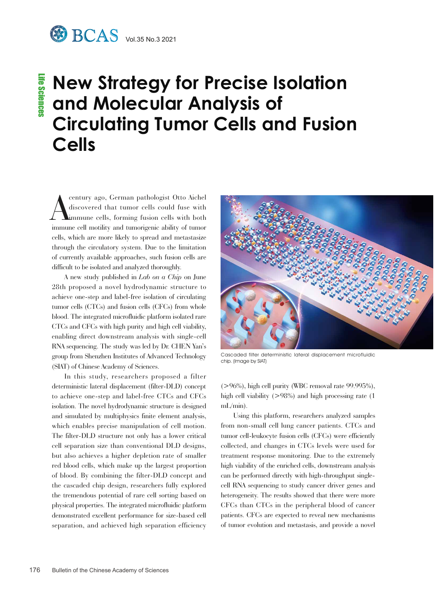## **New Strategy for Precise Isolation and Molecular Analysis of Circulating Tumor Cells and Fusion Cells**

A century ago, German pathologist Otto Aichel discovered that tumor cells could fuse with immune cells, forming fusion cells with both immune cell motility and tumorigenic ability of tumor cells, which are more likely to spread and metastasize through the circulatory system. Due to the limitation of currently available approaches, such fusion cells are difficult to be isolated and analyzed thoroughly.

A new study published in *Lab on a Chip* on June 28th proposed a novel hydrodynamic structure to achieve one-step and label-free isolation of circulating tumor cells (CTCs) and fusion cells (CFCs) from whole blood. The integrated microfluidic platform isolated rare CTCs and CFCs with high purity and high cell viability, enabling direct downstream analysis with single-cell RNA sequencing. The study was led by Dr. CHEN Yan's group from Shenzhen Institutes of Advanced Technology (SIAT) of Chinese Academy of Sciences.

In this study, researchers proposed a filter deterministic lateral displacement (filter-DLD) concept to achieve one-step and label-free CTCs and CFCs isolation. The novel hydrodynamic structure is designed and simulated by multiphysics finite element analysis, which enables precise manipulation of cell motion. The filter-DLD structure not only has a lower critical cell separation size than conventional DLD designs, but also achieves a higher depletion rate of smaller red blood cells, which make up the largest proportion of blood. By combining the filter-DLD concept and the cascaded chip design, researchers fully explored the tremendous potential of rare cell sorting based on physical properties. The integrated microfluidic platform demonstrated excellent performance for size-based cell separation, and achieved high separation efficiency



Cascaded filter deterministic lateral displacement microfluidic chip. (Image by SIAT)

 $(>96\%)$ , high cell purity (WBC removal rate 99.995%). high cell viability  $(>98\%)$  and high processing rate (1) mL/min).

Using this platform, researchers analyzed samples from non-small cell lung cancer patients. CTCs and tumor cell-leukocyte fusion cells (CFCs) were efficiently collected, and changes in CTCs levels were used for treatment response monitoring. Due to the extremely high viability of the enriched cells, downstream analysis can be performed directly with high-throughput singlecell RNA sequencing to study cancer driver genes and heterogeneity. The results showed that there were more CFCs than CTCs in the peripheral blood of cancer patients. CFCs are expected to reveal new mechanisms of tumor evolution and metastasis, and provide a novel